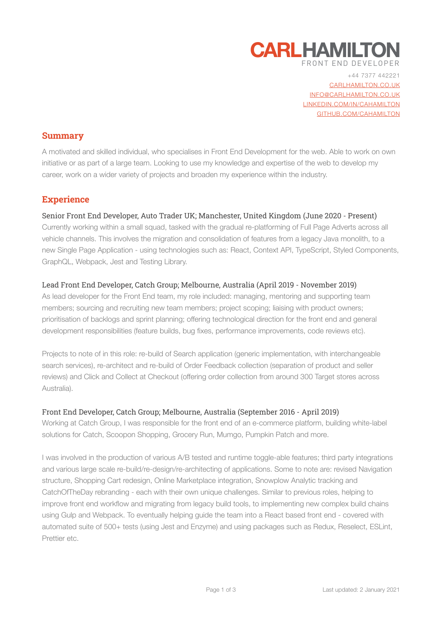

+44 7377 442221 [CARLHAMILTON.CO.UK](https://carlhamilton.co.uk) [INFO@CARLHAMILTON.CO.UK](mailto:info@carlhamilton.co.uk) [LINKEDIN.COM/IN/CAHAMILTON](https://www.linkedin.com/in/cahamilton/) [GITHUB.COM/CAHAMILTON](https://github.com/cahamilton)

## **Summary**

A motivated and skilled individual, who specialises in Front End Development for the web. Able to work on own initiative or as part of a large team. Looking to use my knowledge and expertise of the web to develop my career, work on a wider variety of projects and broaden my experience within the industry.

## **Experience**

#### Senior Front End Developer, Auto Trader UK; Manchester, United Kingdom (June 2020 - Present)

Currently working within a small squad, tasked with the gradual re-platforming of Full Page Adverts across all vehicle channels. This involves the migration and consolidation of features from a legacy Java monolith, to a new Single Page Application - using technologies such as: React, Context API, TypeScript, Styled Components, GraphQL, Webpack, Jest and Testing Library.

#### Lead Front End Developer, Catch Group; Melbourne, Australia (April 2019 - November 2019)

As lead developer for the Front End team, my role included: managing, mentoring and supporting team members; sourcing and recruiting new team members; project scoping; liaising with product owners; prioritisation of backlogs and sprint planning; offering technological direction for the front end and general development responsibilities (feature builds, bug fixes, performance improvements, code reviews etc).

Projects to note of in this role: re-build of Search application (generic implementation, with interchangeable search services), re-architect and re-build of Order Feedback collection (separation of product and seller reviews) and Click and Collect at Checkout (offering order collection from around 300 Target stores across Australia).

#### Front End Developer, Catch Group; Melbourne, Australia (September 2016 - April 2019)

Working at Catch Group, I was responsible for the front end of an e-commerce platform, building white-label solutions for Catch, Scoopon Shopping, Grocery Run, Mumgo, Pumpkin Patch and more.

I was involved in the production of various A/B tested and runtime toggle-able features; third party integrations and various large scale re-build/re-design/re-architecting of applications. Some to note are: revised Navigation structure, Shopping Cart redesign, Online Marketplace integration, Snowplow Analytic tracking and CatchOfTheDay rebranding - each with their own unique challenges. Similar to previous roles, helping to improve front end workflow and migrating from legacy build tools, to implementing new complex build chains using Gulp and Webpack. To eventually helping guide the team into a React based front end - covered with automated suite of 500+ tests (using Jest and Enzyme) and using packages such as Redux, Reselect, ESLint, Prettier etc.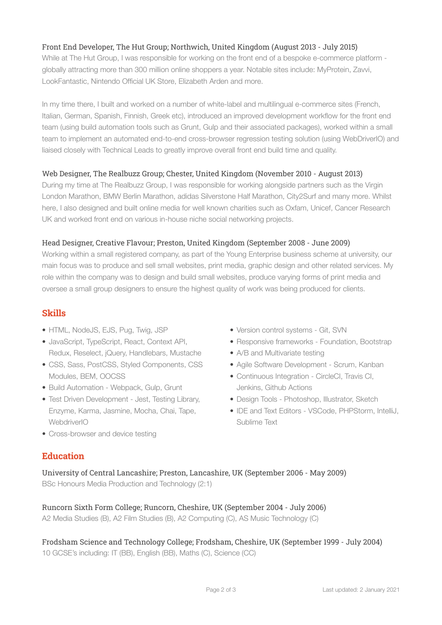## Front End Developer, The Hut Group; Northwich, United Kingdom (August 2013 - July 2015)

While at The Hut Group, I was responsible for working on the front end of a bespoke e-commerce platform globally attracting more than 300 million online shoppers a year. Notable sites include: MyProtein, Zavvi, LookFantastic, Nintendo Official UK Store, Elizabeth Arden and more.

In my time there, I built and worked on a number of white-label and multilingual e-commerce sites (French, Italian, German, Spanish, Finnish, Greek etc), introduced an improved development workflow for the front end team (using build automation tools such as Grunt, Gulp and their associated packages), worked within a small team to implement an automated end-to-end cross-browser regression testing solution (using WebDriverIO) and liaised closely with Technical Leads to greatly improve overall front end build time and quality.

#### Web Designer, The Realbuzz Group; Chester, United Kingdom (November 2010 - August 2013)

During my time at The Realbuzz Group, I was responsible for working alongside partners such as the Virgin London Marathon, BMW Berlin Marathon, adidas Silverstone Half Marathon, City2Surf and many more. Whilst here, I also designed and built online media for well known charities such as Oxfam, Unicef, Cancer Research UK and worked front end on various in-house niche social networking projects.

#### Head Designer, Creative Flavour; Preston, United Kingdom (September 2008 - June 2009)

Working within a small registered company, as part of the Young Enterprise business scheme at university, our main focus was to produce and sell small websites, print media, graphic design and other related services. My role within the company was to design and build small websites, produce varying forms of print media and oversee a small group designers to ensure the highest quality of work was being produced for clients.

## **Skills**

- HTML, NodeJS, EJS, Pug, Twig, JSP
- JavaScript, TypeScript, React, Context API, Redux, Reselect, jQuery, Handlebars, Mustache
- CSS, Sass, PostCSS, Styled Components, CSS Modules, BEM, OOCSS
- Build Automation Webpack, Gulp, Grunt
- Test Driven Development Jest, Testing Library, Enzyme, Karma, Jasmine, Mocha, Chai, Tape, **WebdriverIO**
- Cross-browser and device testing
- Version control systems Git, SVN
- Responsive frameworks Foundation, Bootstrap
- A/B and Multivariate testing
- Agile Software Development Scrum, Kanban
- Continuous Integration CircleCI, Travis CI, Jenkins, Github Actions
- Design Tools Photoshop, Illustrator, Sketch
- IDE and Text Editors VSCode, PHPStorm, IntelliJ, Sublime Text

## **Education**

University of Central Lancashire; Preston, Lancashire, UK (September 2006 - May 2009) BSc Honours Media Production and Technology (2:1)

Runcorn Sixth Form College; Runcorn, Cheshire, UK (September 2004 - July 2006) A2 Media Studies (B), A2 Film Studies (B), A2 Computing (C), AS Music Technology (C)

# Frodsham Science and Technology College; Frodsham, Cheshire, UK (September 1999 - July 2004)

10 GCSE's including: IT (BB), English (BB), Maths (C), Science (CC)